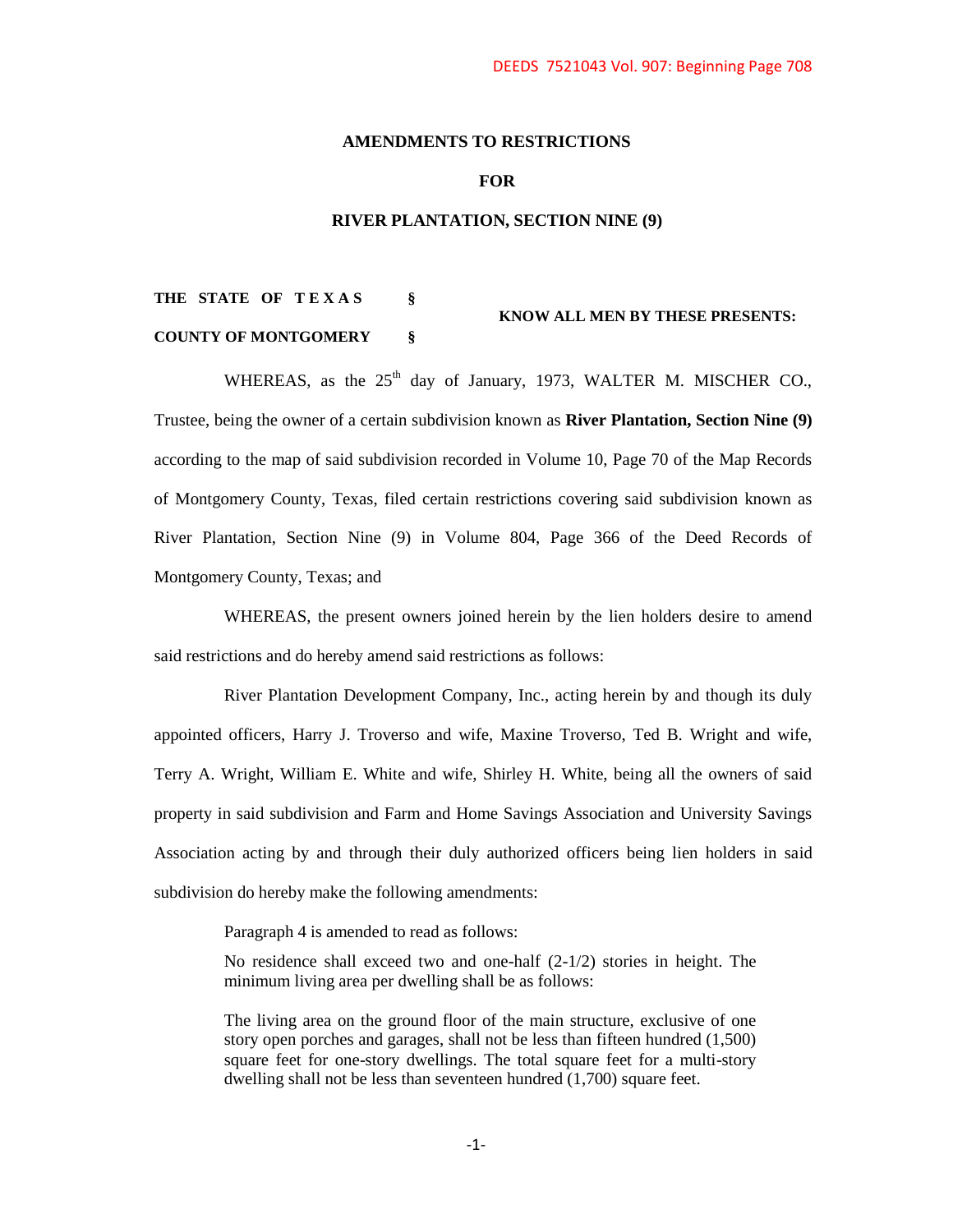## **AMENDMENTS TO RESTRICTIONS**

### **FOR**

### **RIVER PLANTATION, SECTION NINE (9)**

# **THE STATE OF T E X A S § KNOW ALL MEN BY THESE PRESENTS: COUNTY OF MONTGOMERY §**

WHEREAS, as the  $25<sup>th</sup>$  day of January, 1973, WALTER M. MISCHER CO., Trustee, being the owner of a certain subdivision known as **River Plantation, Section Nine (9)** according to the map of said subdivision recorded in Volume 10, Page 70 of the Map Records of Montgomery County, Texas, filed certain restrictions covering said subdivision known as River Plantation, Section Nine (9) in Volume 804, Page 366 of the Deed Records of Montgomery County, Texas; and

WHEREAS, the present owners joined herein by the lien holders desire to amend said restrictions and do hereby amend said restrictions as follows:

River Plantation Development Company, Inc., acting herein by and though its duly appointed officers, Harry J. Troverso and wife, Maxine Troverso, Ted B. Wright and wife, Terry A. Wright, William E. White and wife, Shirley H. White, being all the owners of said property in said subdivision and Farm and Home Savings Association and University Savings Association acting by and through their duly authorized officers being lien holders in said subdivision do hereby make the following amendments:

Paragraph 4 is amended to read as follows:

No residence shall exceed two and one-half (2-1/2) stories in height. The minimum living area per dwelling shall be as follows:

The living area on the ground floor of the main structure, exclusive of one story open porches and garages, shall not be less than fifteen hundred (1,500) square feet for one-story dwellings. The total square feet for a multi-story dwelling shall not be less than seventeen hundred (1,700) square feet.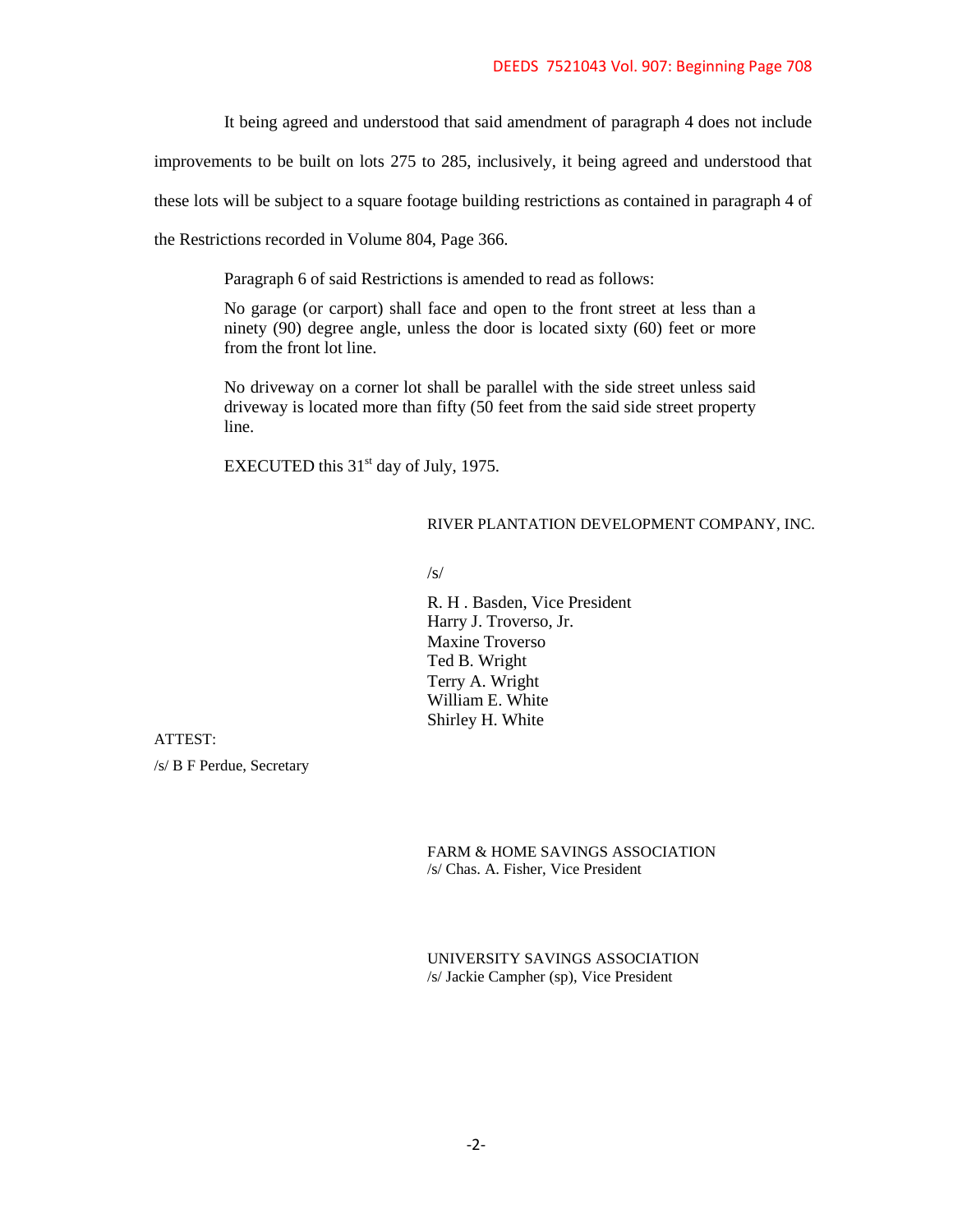It being agreed and understood that said amendment of paragraph 4 does not include

improvements to be built on lots 275 to 285, inclusively, it being agreed and understood that

these lots will be subject to a square footage building restrictions as contained in paragraph 4 of

the Restrictions recorded in Volume 804, Page 366.

Paragraph 6 of said Restrictions is amended to read as follows:

No garage (or carport) shall face and open to the front street at less than a ninety (90) degree angle, unless the door is located sixty (60) feet or more from the front lot line.

No driveway on a corner lot shall be parallel with the side street unless said driveway is located more than fifty (50 feet from the said side street property line.

EXECUTED this 31<sup>st</sup> day of July, 1975.

# RIVER PLANTATION DEVELOPMENT COMPANY, INC.

/s/

R. H . Basden, Vice President Harry J. Troverso, Jr. Maxine Troverso Ted B. Wright Terry A. Wright William E. White Shirley H. White

ATTEST:

/s/ B F Perdue, Secretary

FARM & HOME SAVINGS ASSOCIATION /s/ Chas. A. Fisher, Vice President

UNIVERSITY SAVINGS ASSOCIATION /s/ Jackie Campher (sp), Vice President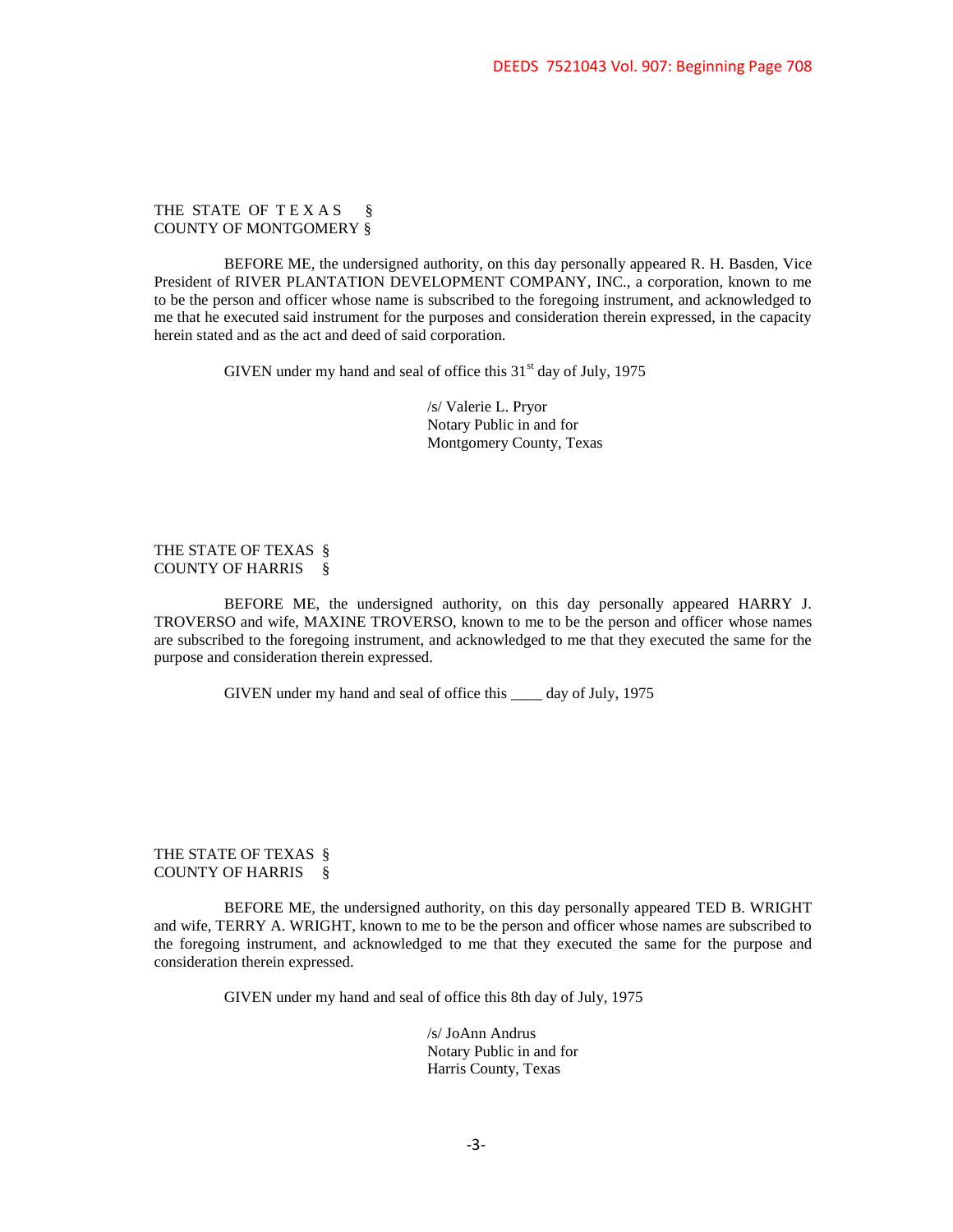THE STATE OF TEXAS § COUNTY OF MONTGOMERY §

BEFORE ME, the undersigned authority, on this day personally appeared R. H. Basden, Vice President of RIVER PLANTATION DEVELOPMENT COMPANY, INC., a corporation, known to me to be the person and officer whose name is subscribed to the foregoing instrument, and acknowledged to me that he executed said instrument for the purposes and consideration therein expressed, in the capacity herein stated and as the act and deed of said corporation.

GIVEN under my hand and seal of office this  $31<sup>st</sup>$  day of July, 1975

/s/ Valerie L. Pryor Notary Public in and for Montgomery County, Texas

THE STATE OF TEXAS § COUNTY OF HARRIS §

BEFORE ME, the undersigned authority, on this day personally appeared HARRY J. TROVERSO and wife, MAXINE TROVERSO, known to me to be the person and officer whose names are subscribed to the foregoing instrument, and acknowledged to me that they executed the same for the purpose and consideration therein expressed.

GIVEN under my hand and seal of office this \_\_\_\_ day of July, 1975

THE STATE OF TEXAS § COUNTY OF HARRIS §

BEFORE ME, the undersigned authority, on this day personally appeared TED B. WRIGHT and wife, TERRY A. WRIGHT, known to me to be the person and officer whose names are subscribed to the foregoing instrument, and acknowledged to me that they executed the same for the purpose and consideration therein expressed.

GIVEN under my hand and seal of office this 8th day of July, 1975

/s/ JoAnn Andrus Notary Public in and for Harris County, Texas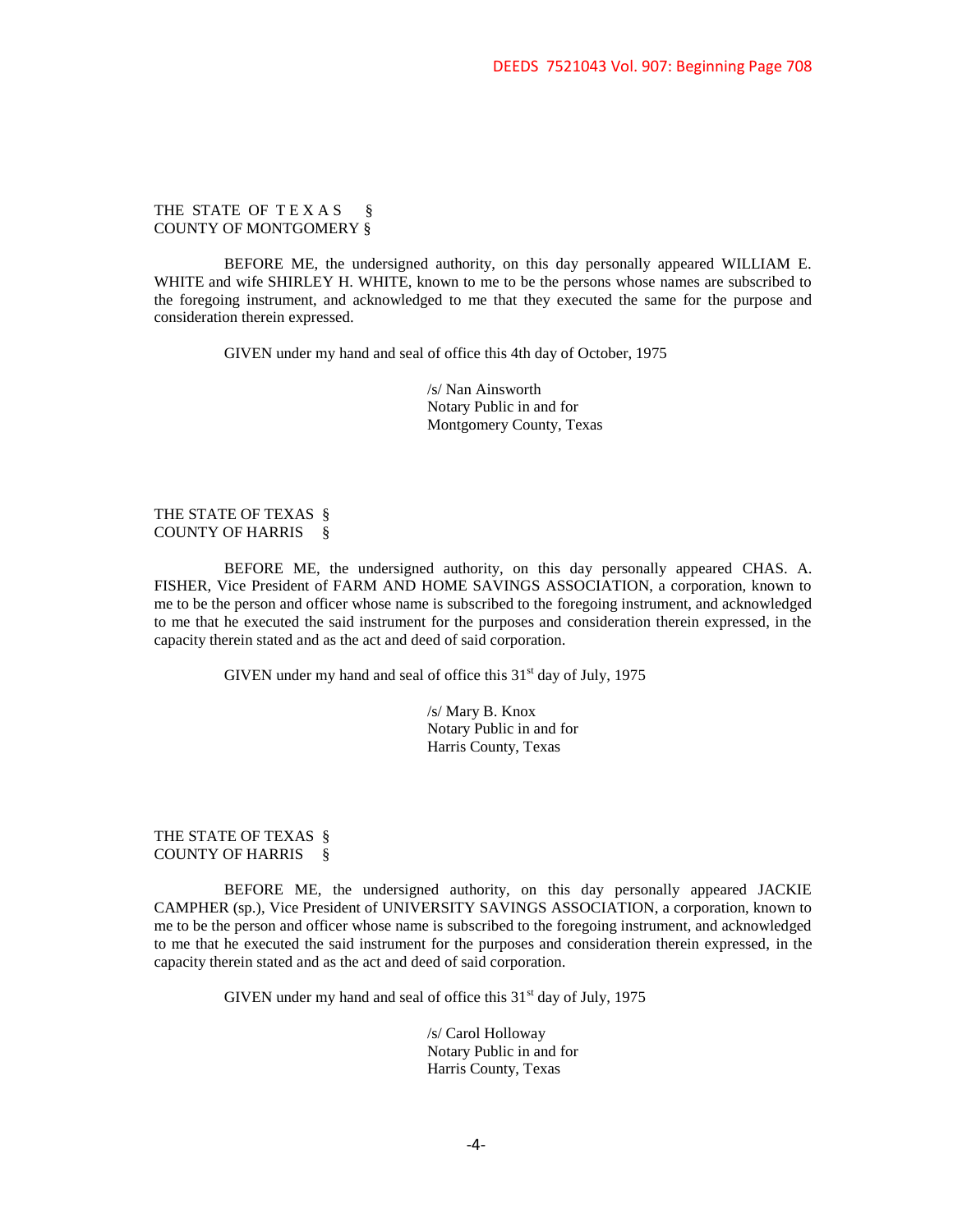THE STATE OF TEXAS § COUNTY OF MONTGOMERY §

BEFORE ME, the undersigned authority, on this day personally appeared WILLIAM E. WHITE and wife SHIRLEY H. WHITE, known to me to be the persons whose names are subscribed to the foregoing instrument, and acknowledged to me that they executed the same for the purpose and consideration therein expressed.

GIVEN under my hand and seal of office this 4th day of October, 1975

/s/ Nan Ainsworth Notary Public in and for Montgomery County, Texas

### THE STATE OF TEXAS § COUNTY OF HARRIS §

BEFORE ME, the undersigned authority, on this day personally appeared CHAS. A. FISHER, Vice President of FARM AND HOME SAVINGS ASSOCIATION, a corporation, known to me to be the person and officer whose name is subscribed to the foregoing instrument, and acknowledged to me that he executed the said instrument for the purposes and consideration therein expressed, in the capacity therein stated and as the act and deed of said corporation.

GIVEN under my hand and seal of office this  $31<sup>st</sup>$  day of July, 1975

/s/ Mary B. Knox Notary Public in and for Harris County, Texas

THE STATE OF TEXAS § COUNTY OF HARRIS §

BEFORE ME, the undersigned authority, on this day personally appeared JACKIE CAMPHER (sp.), Vice President of UNIVERSITY SAVINGS ASSOCIATION, a corporation, known to me to be the person and officer whose name is subscribed to the foregoing instrument, and acknowledged to me that he executed the said instrument for the purposes and consideration therein expressed, in the capacity therein stated and as the act and deed of said corporation.

GIVEN under my hand and seal of office this  $31<sup>st</sup>$  day of July, 1975

/s/ Carol Holloway Notary Public in and for Harris County, Texas